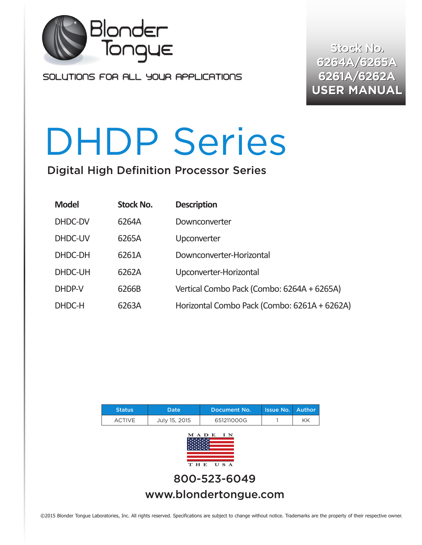

SOLUTIONS FOR ALL YOUR APPLICATIONS

**Stock No. Stock No. 6264A/6265A 6264A/6265A 6261A/6262A 6261A/6262A USER MANUAL USER MANUAL**

# DHDP Series

Digital High Definition Processor Series

| <b>Model</b> | <b>Stock No.</b> | <b>Description</b>                           |
|--------------|------------------|----------------------------------------------|
| DHDC-DV      | 6264A            | Downconverter                                |
| DHDC-UV      | 6265A            | Upconverter                                  |
| DHDC-DH      | 6261A            | Downconverter-Horizontal                     |
| DHDC-UH      | 6262A            | Upconverter-Horizontal                       |
| DHDP-V       | 6266B            | Vertical Combo Pack (Combo: 6264A + 6265A)   |
| DHDC-H       | 6263A            | Horizontal Combo Pack (Combo: 6261A + 6262A) |



©2015 Blonder Tongue Laboratories, Inc. All rights reserved. Specifications are subject to change without notice. Trademarks are the property of their respective owner.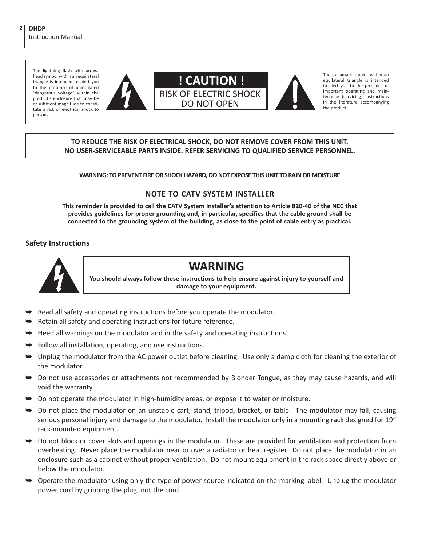The lightning flash with arrowhead symbol within an equilateral triangle is intended to alert you to the presence of uninsulated "dangerous voltage" within the product's enclosure that may be of sufficient magnitude to constitute a risk of electrical shock to persons.





The exclamation point within an equilateral triangle is intended to alert you to the presence of important operating and maintenance (servicing) instructions in the literature accompanying the product.

#### **TO REDUCE THE RISK OF ELECTRICAL SHOCK, DO NOT REMOVE COVER FROM THIS UNIT. NO USER-SERVICEABLE PARTS INSIDE. REFER SERVICING TO QUALIFIED SERVICE PERSONNEL.**

**WARNING: TO PREVENT FIRE OR SHOCK HAZARD, DO NOT EXPOSE THIS UNIT TO RAIN OR MOISTURE**

#### **NOTE TO CATV SYSTEM INSTALLER**

**This reminder is provided to call the CATV System Installer's attention to Article 820-40 of the NEC that provides guidelines for proper grounding and, in particular, specifies that the cable ground shall be connected to the grounding system of the building, as close to the point of cable entry as practical.**

#### **Safety Instructions**



## **WARNING**

**You should always follow these instructions to help ensure against injury to yourself and damage to your equipment.**

- å Read all safety and operating instructions before you operate the modulator.
- Retain all safety and operating instructions for future reference.
- å Heed all warnings on the modulator and in the safety and operating instructions.
- å Follow all installation, operating, and use instructions.
- å Unplug the modulator from the AC power outlet before cleaning. Use only a damp cloth for cleaning the exterior of the modulator.
- å Do not use accessories or attachments not recommended by Blonder Tongue, as they may cause hazards, and will void the warranty.
- $\rightarrow$  Do not operate the modulator in high-humidity areas, or expose it to water or moisture.
- $\rightarrow$  Do not place the modulator on an unstable cart, stand, tripod, bracket, or table. The modulator may fall, causing serious personal injury and damage to the modulator. Install the modulator only in a mounting rack designed for 19" rack-mounted equipment.
- å Do not block or cover slots and openings in the modulator. These are provided for ventilation and protection from overheating. Never place the modulator near or over a radiator or heat register. Do not place the modulator in an enclosure such as a cabinet without proper ventilation. Do not mount equipment in the rack space directly above or below the modulator.
- å Operate the modulator using only the type of power source indicated on the marking label. Unplug the modulator power cord by gripping the plug, not the cord.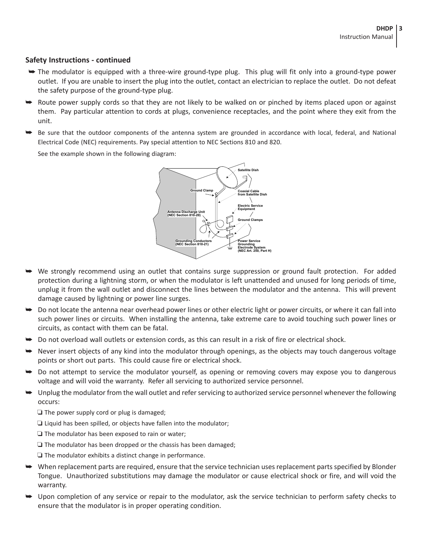#### **Safety Instructions - continued**

- å The modulator is equipped with a three-wire ground-type plug. This plug will fit only into a ground-type power outlet. If you are unable to insert the plug into the outlet, contact an electrician to replace the outlet. Do not defeat the safety purpose of the ground-type plug.
- $\rightarrow$  Route power supply cords so that they are not likely to be walked on or pinched by items placed upon or against them. Pay particular attention to cords at plugs, convenience receptacles, and the point where they exit from the unit.
- å Be sure that the outdoor components of the antenna system are grounded in accordance with local, federal, and National Electrical Code (NEC) requirements. Pay special attention to NEC Sections 810 and 820.

See the example shown in the following diagram:



- å We strongly recommend using an outlet that contains surge suppression or ground fault protection. For added protection during a lightning storm, or when the modulator is left unattended and unused for long periods of time, unplug it from the wall outlet and disconnect the lines between the modulator and the antenna. This will prevent damage caused by lightning or power line surges.
- å Do not locate the antenna near overhead power lines or other electric light or power circuits, or where it can fall into such power lines or circuits. When installing the antenna, take extreme care to avoid touching such power lines or circuits, as contact with them can be fatal.
- $\rightarrow$  Do not overload wall outlets or extension cords, as this can result in a risk of fire or electrical shock.
- $\rightarrow$  Never insert objects of any kind into the modulator through openings, as the objects may touch dangerous voltage points or short out parts. This could cause fire or electrical shock.
- $\rightarrow$  Do not attempt to service the modulator yourself, as opening or removing covers may expose you to dangerous voltage and will void the warranty. Refer all servicing to authorized service personnel.
- $\rightarrow$  Unplug the modulator from the wall outlet and refer servicing to authorized service personnel whenever the following occurs:
	- $\Box$  The power supply cord or plug is damaged;
	- $\Box$  Liquid has been spilled, or objects have fallen into the modulator;
	- $\Box$  The modulator has been exposed to rain or water;
	- $\Box$  The modulator has been dropped or the chassis has been damaged;
	- $\Box$  The modulator exhibits a distinct change in performance.
- $\rightarrow$  When replacement parts are required, ensure that the service technician uses replacement parts specified by Blonder Tongue. Unauthorized substitutions may damage the modulator or cause electrical shock or fire, and will void the warranty.
- å Upon completion of any service or repair to the modulator, ask the service technician to perform safety checks to ensure that the modulator is in proper operating condition.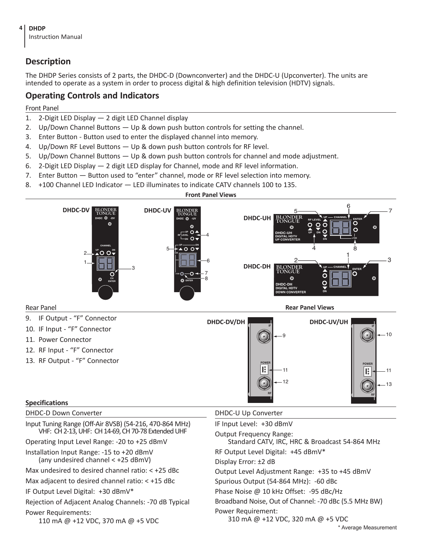

#### **Description**

The DHDP Series consists of 2 parts, the DHDC-D (Downconverter) and the DHDC-U (Upconverter). The units are intended to operate as a system in order to process digital & high definition television (HDTV) signals.

#### **Operating Controls and Indicators**

#### Front Panel

- 1. 2-Digit LED Display 2 digit LED Channel display
- 2. Up/Down Channel Buttons Up & down push button controls for setting the channel.
- 3. Enter Button Button used to enter the displayed channel into memory.
- 4. Up/Down RF Level Buttons Up & down push button controls for RF level.
- 5. Up/Down Channel Buttons Up & down push button controls for channel and mode adjustment.
- 6. 2-Digit LED Display 2 digit LED display for Channel, mode and RF level information.
- 7. Enter Button Button used to "enter" channel, mode or RF level selection into memory.
- 8. +100 Channel LED Indicator LED illuminates to indicate CATV channels 100 to 135.

#### **Front Panel Views**

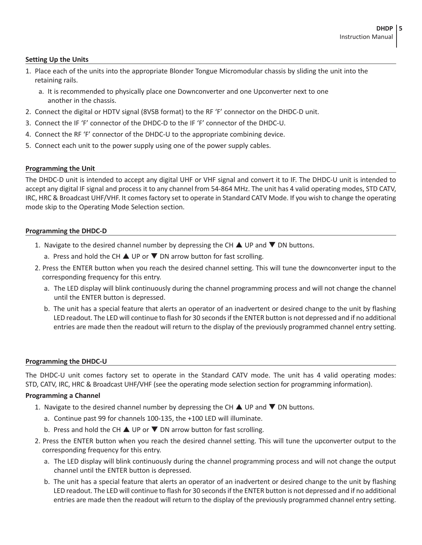#### **Setting Up the Units**

- 1. Place each of the units into the appropriate Blonder Tongue Micromodular chassis by sliding the unit into the retaining rails.
	- a. It is recommended to physically place one Downconverter and one Upconverter next to one another in the chassis.
- 2. Connect the digital or HDTV signal (8VSB format) to the RF 'F' connector on the DHDC-D unit.
- 3. Connect the IF 'F' connector of the DHDC-D to the IF 'F' connector of the DHDC-U.
- 4. Connect the RF 'F' connector of the DHDC-U to the appropriate combining device.
- 5. Connect each unit to the power supply using one of the power supply cables.

#### **Programming the Unit**

The DHDC-D unit is intended to accept any digital UHF or VHF signal and convert it to IF. The DHDC-U unit is intended to accept any digital IF signal and process it to any channel from 54-864 MHz. The unit has 4 valid operating modes, STD CATV, IRC, HRC & Broadcast UHF/VHF. It comes factory set to operate in Standard CATV Mode. If you wish to change the operating mode skip to the Operating Mode Selection section.

#### **Programming the DHDC-D**

- 1. Navigate to the desired channel number by depressing the CH  $\blacktriangle$  UP and  $\nabla$  DN buttons.
	- a. Press and hold the CH  $\triangle$  UP or  $\nabla$  DN arrow button for fast scrolling.
- 2. Press the ENTER button when you reach the desired channel setting. This will tune the downconverter input to the corresponding frequency for this entry.
	- a. The LED display will blink continuously during the channel programming process and will not change the channel until the ENTER button is depressed.
	- b. The unit has a special feature that alerts an operator of an inadvertent or desired change to the unit by flashing LED readout. The LED will continue to flash for 30 seconds if the ENTER button is not depressed and if no additional entries are made then the readout will return to the display of the previously programmed channel entry setting.

#### **Programming the DHDC-U**

The DHDC-U unit comes factory set to operate in the Standard CATV mode. The unit has 4 valid operating modes: STD, CATV, IRC, HRC & Broadcast UHF/VHF (see the operating mode selection section for programming information).

#### **Programming a Channel**

- 1. Navigate to the desired channel number by depressing the CH  $\blacktriangle$  UP and  $\nabla$  DN buttons.
	- a. Continue past 99 for channels 100-135, the +100 LED will illuminate.
	- b. Press and hold the CH  $\triangle$  UP or  $\nabla$  DN arrow button for fast scrolling.
- 2. Press the ENTER button when you reach the desired channel setting. This will tune the upconverter output to the corresponding frequency for this entry.
	- a. The LED display will blink continuously during the channel programming process and will not change the output channel until the ENTER button is depressed.
	- b. The unit has a special feature that alerts an operator of an inadvertent or desired change to the unit by flashing LED readout. The LED will continue to flash for 30 seconds if the ENTER button is not depressed and if no additional entries are made then the readout will return to the display of the previously programmed channel entry setting.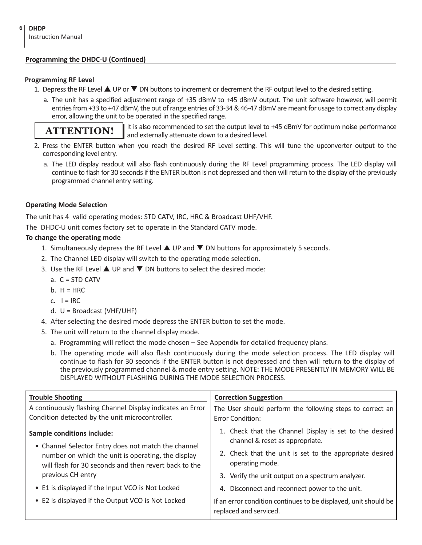#### **Programming the DHDC-U (Continued)**

#### **Programming RF Level**

- 1. Depress the RF Level  $\blacktriangle$  UP or  $\nabla$  DN buttons to increment or decrement the RF output level to the desired setting.
	- a. The unit has a specified adjustment range of +35 dBmV to +45 dBmV output. The unit software however, will permit entries from +33 to +47 dBmV, the out of range entries of 33-34 & 46-47 dBmV are meant for usage to correct any display error, allowing the unit to be operated in the specified range.

### **ATTENTION!**

It is also recommended to set the output level to +45 dBmV for optimum noise performance and externally attenuate down to a desired level.

- 2. Press the ENTER button when you reach the desired RF Level setting. This will tune the upconverter output to the corresponding level entry.
	- a. The LED display readout will also flash continuously during the RF Level programming process. The LED display will continue to flash for 30 seconds if the ENTER button is not depressed and then will return to the display of the previously programmed channel entry setting.

#### **Operating Mode Selection**

The unit has 4 valid operating modes: STD CATV, IRC, HRC & Broadcast UHF/VHF.

The DHDC-U unit comes factory set to operate in the Standard CATV mode.

#### **To change the operating mode**

- 1. Simultaneously depress the RF Level  $\triangle$  UP and  $\nabla$  DN buttons for approximately 5 seconds.
- 2. The Channel LED display will switch to the operating mode selection.
- 3. Use the RF Level  $\triangle$  UP and  $\nabla$  DN buttons to select the desired mode:
	- a. C = STD CATV
	- $b. H = HRC$
	- $c. \quad I = IRC$
	- d. U = Broadcast (VHF/UHF)
- 4. After selecting the desired mode depress the ENTER button to set the mode.
- 5. The unit will return to the channel display mode.
	- a. Programming will reflect the mode chosen See Appendix for detailed frequency plans.
	- b. The operating mode will also flash continuously during the mode selection process. The LED display will continue to flash for 30 seconds if the ENTER button is not depressed and then will return to the display of the previously programmed channel & mode entry setting. NOTE: THE MODE PRESENTLY IN MEMORY WILL BE DISPLAYED WITHOUT FLASHING DURING THE MODE SELECTION PROCESS.

| <b>Trouble Shooting</b>                                                                                       | <b>Correction Suggestion</b>                                                               |
|---------------------------------------------------------------------------------------------------------------|--------------------------------------------------------------------------------------------|
| A continuously flashing Channel Display indicates an Error<br>Condition detected by the unit microcontroller. | The User should perform the following steps to correct an<br><b>Frror Condition:</b>       |
| <b>Sample conditions include:</b><br>• Channel Selector Entry does not match the channel                      | 1. Check that the Channel Display is set to the desired<br>channel & reset as appropriate. |
| number on which the unit is operating, the display<br>will flash for 30 seconds and then revert back to the   | 2. Check that the unit is set to the appropriate desired<br>operating mode.                |
| previous CH entry                                                                                             | 3. Verify the unit output on a spectrum analyzer.                                          |
| • E1 is displayed if the Input VCO is Not Locked                                                              | 4. Disconnect and reconnect power to the unit.                                             |
| • E2 is displayed if the Output VCO is Not Locked                                                             | If an error condition continues to be displayed, unit should be<br>replaced and serviced.  |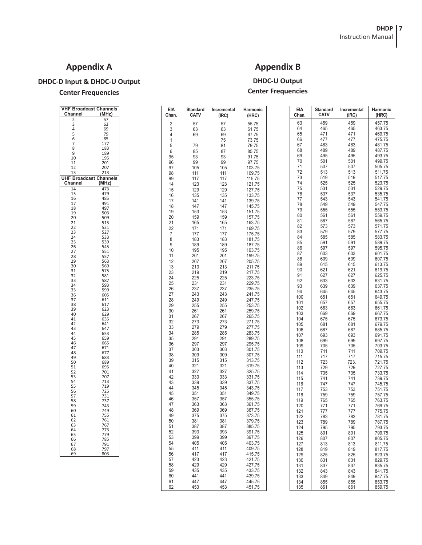#### **Appendix A**

#### **DHDC-D Input & DHDC-U Output**

#### **Center Frequencies**

**VHF Broadcast Channels**

2 57<br>3 63<br>5 6 7 7<br>5 8 85<br>7 1183<br>9 189

 $\begin{array}{cc} 10 & 195 \\ 11 & 201 \end{array}$ 

12 207<br>13 213

**UHF Broadcast Channels**

201

213

719<br>725

737

803

57 731<br>58 737<br>59 743

 $Channel$ 

 $\frac{Channel}{14}$ 

#### **EIA Standard Incremental Harmonic Chan. CATV (IRC) (HRC)** 2 57 57 55.75 3 63 63 61.75 69 67.75<br>75 73.75 1 75 73.75<br>5 79 81 79.75 5 79 81 79.75 6 85 87 85.75 95 93 93 91.75 96 99 99 97.75 97 105 105 103.75<br>98 111 111 109.75 98 111 111 109.75<br>99 117 117 115.75 99 117 117 115.75 14 123 123 121.75 15 129 129 127.75 16 135 135 133.75<br>17 141 141 139.75 17 141 141 139.75 18 147 147 145.75<br>19 153 153 151.75 151.75<br>157 75 20 159 159 157.75 21 165 165 163.75 22 171 171 169.75 7 177 177 175.75 8 183 183 181.75<br>9 189 189 187.75 9 189 189 187.75<br>10 195 195 197.75 10 195 195 193.75<br>11 201 201 199.75 11 201 201 199.75<br>12 207 207 205.75 12 207 207 205.75 13 213 213 211.75<br>23 219 219 217.75 23 219 219 217.75<br>24 225 225 223.75 24 225 225 223.75 25 231 231 229.75 26 237 237 235.75 27 243 243 241.75 28 249 249 247.75<br>29 255 255 253.75 29 255 255 253.75 30 261 261 259.75 31 267 267 265.75 32 273 273 271.75 33 279 279 277.75 34 285 285 283.75 35 291 291 289.75 36 297 297 295.75 37 303 303 301.75 38 309 309 307.75<br>39 315 315 313.75 39 315 315 313.75 40 321 321 319.75<br>41 327 327 325.75 41 327 327 325.75 42 333 333 331.75<br>43 339 339 337.75 43 339 339 337.75 44 345 345 343.75 45 351 351 349.75<br>46 357 357 355.75 46 357 357 355.75 47 363 363 361.75 48 369 369 367.75 49 375 375 373.75 50 381 381 379.75 51 387 387 385.75 52 393 393 391.75 53 399 399 397.75 54 405 405 403.75 55 411 411 409.75 56 417 417 415.75 57 423 423 421.75 58 429 429 427.75 59 435 435 433.75 60 441 441 439.75 61 447 447 445.75 451.75 **EIA Standard Incremental Harmonic Chan. CATV (IRC) (HRC)** 63 459 459 457.75<br>64 465 465 463.75 64 465 465 463.75<br>65 471 471 469.75 65 471 471 469.75<br>66 477 477 475.75 66 477 477 475.75<br>67 483 483 481.75 67 483 483 481.75<br>68 489 489 487.75 68 489 489 487.75 69 495 495 493.75<br>70 501 501 499.75 70 501 501 499.75<br>71 507 507 505.75 71 507 507 505.75<br>72 513 513 511.75 72 513 513 511.75<br>73 519 519 517.75 73 519 519 517.75 74 525 525 523.75<br>75 531 531 529.75 75 531 531 529.75 76 537 537 535.75<br>77 543 543 541.75 77 543 543 541.75 78 549 549 547.75 79 | 555 | 555 | 553.75<br>80 | 561 | 561 | 559.75 561 561 559.75<br>567 567 565.75 81 567 567 565.75<br>82 573 573 571.75 82 573 573 571.75<br>83 579 579 577.75 83 579 579 577.75<br>84 585 585 583.75 84 | 585 | 585 | 583.75 85 591 591 589.75<br>86 597 597 598.75 86 597 597 595.75<br>87 603 603 601.75 87 603 603 601.75<br>88 609 609 607.75 88 609 609 607.75<br>89 615 615 613.75 89 615 615 613.75<br>90 621 621 619.75 90 621 621 619.75<br>91 627 627 625.75 91 627 627 625.75<br>92 633 633 634.75 92 633 633 631.75 93 639 639 637.75<br>94 645 645 643.75 94 645 645 643.75 100 651 651 649.75  $\begin{array}{|c|c|c|c|c|c|c|c|} \hline 101 & 657 & 657 & 655.75 \ \hline 102 & 663 & 663 & 661.75 \ \hline \end{array}$  $\begin{array}{|c|c|c|c|c|}\n\hline\n102 & 663 & 663 & 661.75 \\
103 & 669 & 669 & 667.75\n\end{array}$ 103 669 669 667.75 104 675 675 673.75<br>105 681 681 679.75 105 681 681 679.75<br>106 687 687 685.75 106 | 687 | 687 | 685.75 107 693 693 691.75<br>108 699 699 697.75 108 699 699 697.75 109 705 705 703.75<br>110 711 711 709.75 110 711 711 709.75 111 717 717 715.75<br>112 723 723 724 721.75 112 723 723. 721.75 113 729 729 727.75<br>114 735 735 733.75 114 735 735 733.75<br>115 741 741 739.75 115 741 741 739.75 116 747 747 745.75<br>117 753 753 751.75 1<br>
11753 753 751.75<br>
11759 759 757.75 118 759 759 757.75<br>119 765 765 763.75 119 765 765 763.75 120 771 771 769.75<br>121 777 777 777 775.75 121 777 777 775.75<br>122 783 783 781.75 122 783 783 781.75<br>123 789 789 787.75 123 789 789 787.75 124 795 795 793.75 125 801 801 799.75<br>126 807 807 805.75 126 807 807 805.75<br>127 813 813 8141.75 127 813 813 811.75<br>128 819 819 817.75 128 819 819 817.75<br>129 825 825 823.75 129 825 825 823.75<br>130 831 831 829.75 130 831 831 829.75<br>131 837 837 835.75 131 837 837 835.75<br>132 843 843 841.75 132 843 843 841.75<br>133 849 849 847.75 133 849 849 847.75<br>134 855 855 853.75 134 855 855 853.75<br>135 861 861 859.75 859.75

#### **Appendix B**

**DHDC-U Output Center Frequencies**